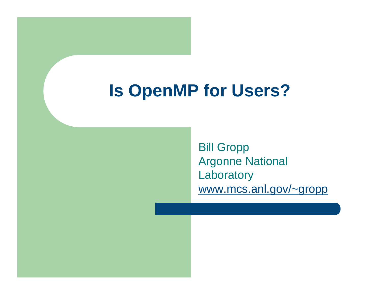## **Is OpenMP for Users?**

Bill Gropp Argonne National **Laboratory** www.mcs.anl.gov/~gropp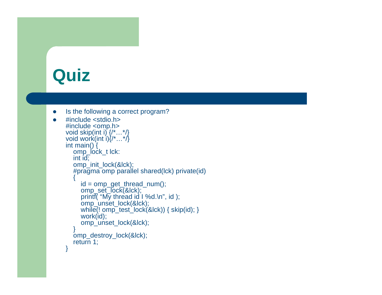## **Quiz**

 $\bullet$ 

```
\bullet Is the following a correct program?
```

```
 #include <stdio.h>
#include <omp.h>
void skip(int i) {/*…*/}
void work(int i){/*…*/}
int main() \{ omp_lock_t lck:
   int id;
   omp_init_lock(&lck);
   #pragma omp parallel shared(lck) private(id)
\{ id = omp_get_thread_num();
 omp_set_lock(&lck);
 printf( "My thread id I %d.\n", id );
      omp_unset_lock(&lck);
     while(! omp\_test\_lock(& lck)} { skip(id); }
      work(id);
     omp_unset_lock(&lck);
 }
   omp_destroy_lock(&lck);
  return 1;
}
```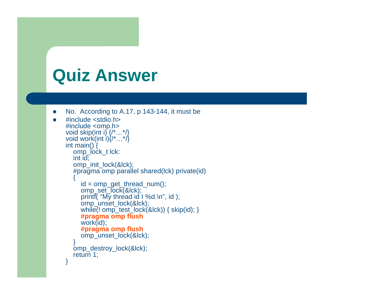## **Quiz Answer**

 $\bullet$ 

```
\bullet No. According to A.17, p 143-144, it must be
```

```
 #include <stdio.h>
#include <omp.h>
void skip(int i) {/*…*/}
void work(int i){/*…*/}
int main() \overline{f} omp_lock_t lck:
   int id;
   omp_init_lock(&lck);
   #pragma omp parallel shared(lck) private(id)
\{ id = omp_get_thread_num();
     omp_set_lock(&lck);
     printf( "My thread id I %d.\n", id);
      omp_unset_lock(&lck);
     while(! omp\_test\_lock(& lck)) { skip(id);}
     #pragma omp flush work(id);
     #pragma omp flush
     omp_unset_lock(&lck);
 }
   omp_destroy_lock(&lck);
   return 1;
}
```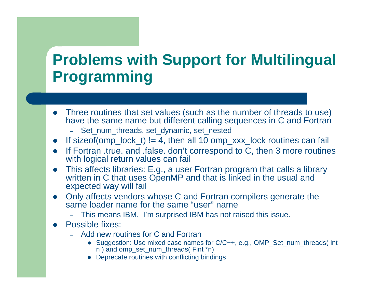### **Problems with Support for Multilingual Programming**

- Three routines that set values (such as the number of threads to use) have the same name but different calling sequences in C and Fortran
	- Set\_num\_threads, set\_dynamic, set\_nested
- $\bullet$ If sizeof(omp\_lock\_t) != 4, then all 10 omp\_xxx\_lock routines can fail
- $\bullet$  If Fortran .true. and .false. don't correspond to C, then 3 more routines with logical return values can fail
- 0 This affects libraries: E.g., a user Fortran program that calls a library written in C that uses OpenMP and that is linked in the usual and expected way will fail
- Only affects vendors whose C and Fortran compilers generate the same loader name for the same "user" name
	- This means IBM. I'm surprised IBM has not raised this issue.
- 0 Possible fixes:
	- Add new routines for C and Fortran
		- Suggestion: Use mixed case names for C/C++, e.g., OMP\_Set\_num\_threads( int n ) and omp\_set\_num\_threads( Fint \*n)
		- Deprecate routines with conflicting bindings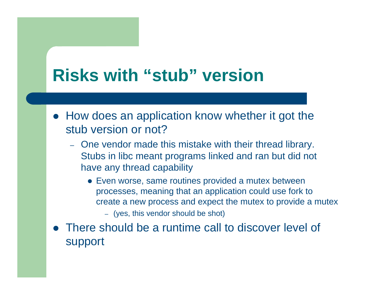## **Risks with "stub" version**

- How does an application know whether it got the stub version or not?
	- One vendor made this mistake with their thread library. Stubs in libc meant programs linked and ran but did not have any thread capability
		- Even worse, same routines provided a mutex between processes, meaning that an application could use fork to create a new process and expect the mutex to provide a mutex
			- (yes, this vendor should be shot)
- There should be a runtime call to discover level of support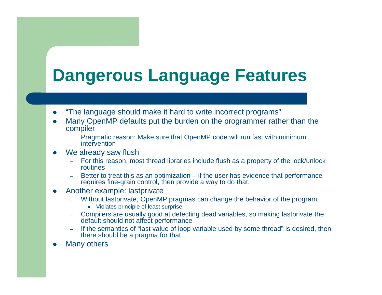# **Dangerous Language Features**

- $\bullet$ "The language should make it hard to write incorrect programs"
- 0 Many OpenMP defaults put the burden on the programmer rather than the compiler
	- Pragmatic reason: Make sure that OpenMP code will run fast with minimum intervention
- $\bullet$  We already saw flush
	- For this reason, most thread libraries include flush as a property of the lock/unlock routines
	- Better to treat this as an optimization if the user has evidence that performance requires fine-grain control, then provide a way to do that.
- $\bullet$  Another example: lastprivate
	- Without lastprivate, OpenMP pragmas can change the behavior of the program
		- Violates principle of least surprise
	- Compilers are usually good at detecting dead variables, so making lastprivate the default should not affect performance
	- If the semantics of "last value of loop variable used by some thread" is desired, then there should be a pragma for that
- $\bullet$ Many others